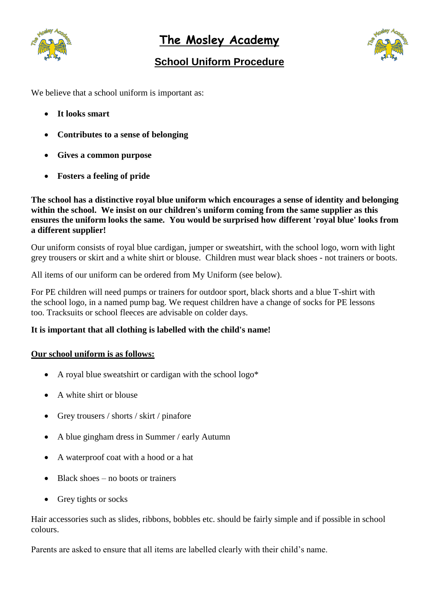

**The Mosley Academy**

# **School Uniform Procedure**



We believe that a school uniform is important as:

- **It looks smart**
- **Contributes to a sense of belonging**
- **Gives a common purpose**
- **Fosters a feeling of pride**

**The school has a distinctive royal blue uniform which encourages a sense of identity and belonging within the school. We insist on our children's uniform coming from the same supplier as this ensures the uniform looks the same. You would be surprised how different 'royal blue' looks from a different supplier!**

Our uniform consists of royal blue cardigan, jumper or sweatshirt, with the school logo, worn with light grey trousers or skirt and a white shirt or blouse. Children must wear black shoes - not trainers or boots.

All items of our uniform can be ordered from My Uniform (see below).

For PE children will need pumps or trainers for outdoor sport, black shorts and a blue T-shirt with the school logo, in a named pump bag. We request children have a change of socks for PE lessons too. Tracksuits or school fleeces are advisable on colder days.

## **It is important that all clothing is labelled with the child's name!**

#### **Our school uniform is as follows:**

- A royal blue sweatshirt or cardigan with the school logo\*
- A white shirt or blouse
- Grey trousers / shorts / skirt / pinafore
- A blue gingham dress in Summer / early Autumn
- A waterproof coat with a hood or a hat
- Black shoes no boots or trainers
- Grey tights or socks

Hair accessories such as slides, ribbons, bobbles etc. should be fairly simple and if possible in school colours.

Parents are asked to ensure that all items are labelled clearly with their child's name.